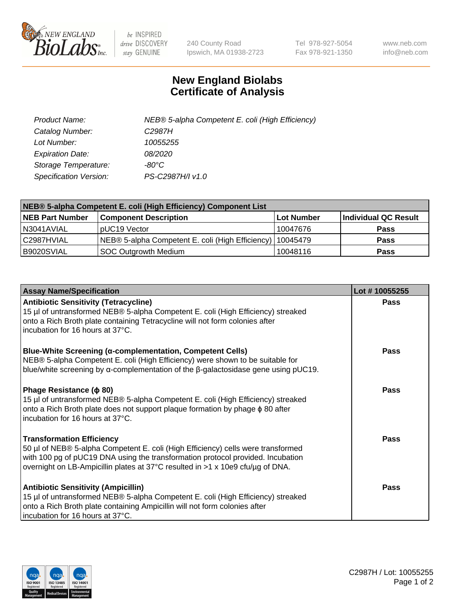

 $be$  INSPIRED drive DISCOVERY stay GENUINE

240 County Road Ipswich, MA 01938-2723 Tel 978-927-5054 Fax 978-921-1350 www.neb.com info@neb.com

## **New England Biolabs Certificate of Analysis**

| Product Name:           | NEB® 5-alpha Competent E. coli (High Efficiency) |
|-------------------------|--------------------------------------------------|
| Catalog Number:         | C <sub>2987</sub> H                              |
| Lot Number:             | 10055255                                         |
| <b>Expiration Date:</b> | <i>08/2020</i>                                   |
| Storage Temperature:    | -80°C                                            |
| Specification Version:  | PS-C2987H/I v1.0                                 |

| NEB® 5-alpha Competent E. coli (High Efficiency) Component List |                                                             |            |                      |  |
|-----------------------------------------------------------------|-------------------------------------------------------------|------------|----------------------|--|
| <b>NEB Part Number</b>                                          | <b>Component Description</b>                                | Lot Number | Individual QC Result |  |
| N3041AVIAL                                                      | pUC19 Vector                                                | 10047676   | <b>Pass</b>          |  |
| C2987HVIAL                                                      | NEB® 5-alpha Competent E. coli (High Efficiency)   10045479 |            | <b>Pass</b>          |  |
| B9020SVIAL                                                      | <b>SOC Outgrowth Medium</b>                                 | 10048116   | <b>Pass</b>          |  |

| <b>Assay Name/Specification</b>                                                                                                                                                                                                                                                           | Lot #10055255 |
|-------------------------------------------------------------------------------------------------------------------------------------------------------------------------------------------------------------------------------------------------------------------------------------------|---------------|
| <b>Antibiotic Sensitivity (Tetracycline)</b><br>15 µl of untransformed NEB® 5-alpha Competent E. coli (High Efficiency) streaked<br>onto a Rich Broth plate containing Tetracycline will not form colonies after<br>incubation for 16 hours at 37°C.                                      | Pass          |
| <b>Blue-White Screening (α-complementation, Competent Cells)</b><br>NEB® 5-alpha Competent E. coli (High Efficiency) were shown to be suitable for<br>blue/white screening by $\alpha$ -complementation of the $\beta$ -galactosidase gene using pUC19.                                   | Pass          |
| Phage Resistance ( $\phi$ 80)<br>15 µl of untransformed NEB® 5-alpha Competent E. coli (High Efficiency) streaked<br>onto a Rich Broth plate does not support plaque formation by phage $\phi$ 80 after<br>incubation for 16 hours at 37°C.                                               | Pass          |
| <b>Transformation Efficiency</b><br>50 µl of NEB® 5-alpha Competent E. coli (High Efficiency) cells were transformed<br>with 100 pg of pUC19 DNA using the transformation protocol provided. Incubation<br>overnight on LB-Ampicillin plates at 37°C resulted in >1 x 10e9 cfu/µg of DNA. | Pass          |
| <b>Antibiotic Sensitivity (Ampicillin)</b><br>15 µl of untransformed NEB® 5-alpha Competent E. coli (High Efficiency) streaked<br>onto a Rich Broth plate containing Ampicillin will not form colonies after<br>incubation for 16 hours at 37°C.                                          | Pass          |